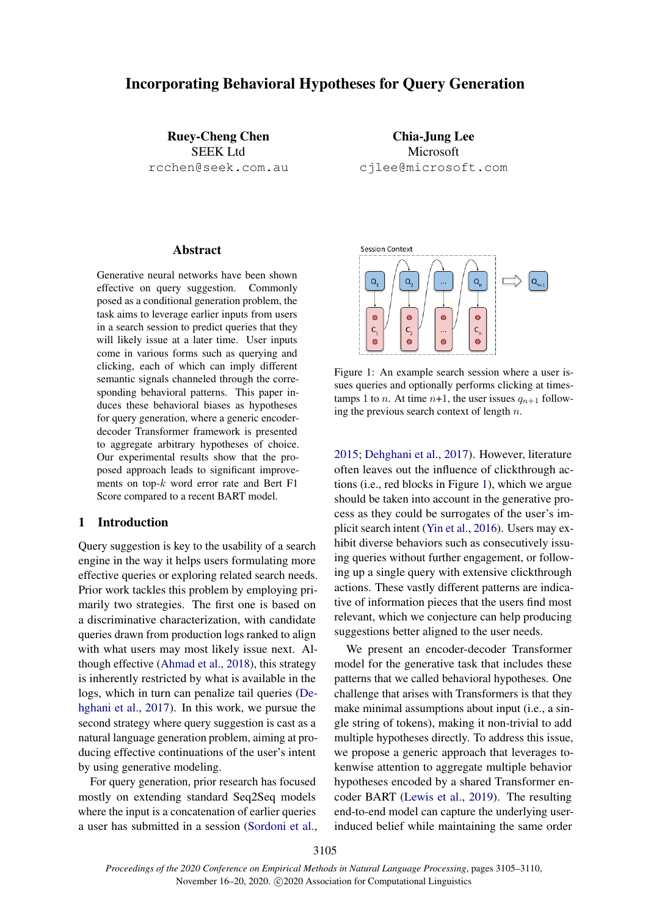# Incorporating Behavioral Hypotheses for Query Generation

Ruey-Cheng Chen SEEK Ltd rcchen@seek.com.au

Chia-Jung Lee Microsoft cjlee@microsoft.com

## **Abstract**

Generative neural networks have been shown effective on query suggestion. Commonly posed as a conditional generation problem, the task aims to leverage earlier inputs from users in a search session to predict queries that they will likely issue at a later time. User inputs come in various forms such as querying and clicking, each of which can imply different semantic signals channeled through the corresponding behavioral patterns. This paper induces these behavioral biases as hypotheses for query generation, where a generic encoderdecoder Transformer framework is presented to aggregate arbitrary hypotheses of choice. Our experimental results show that the proposed approach leads to significant improvements on top- $k$  word error rate and Bert F1 Score compared to a recent BART model.

## 1 Introduction

Query suggestion is key to the usability of a search engine in the way it helps users formulating more effective queries or exploring related search needs. Prior work tackles this problem by employing primarily two strategies. The first one is based on a discriminative characterization, with candidate queries drawn from production logs ranked to align with what users may most likely issue next. Although effective [\(Ahmad et al.,](#page-5-0) [2018\)](#page-5-0), this strategy is inherently restricted by what is available in the logs, which in turn can penalize tail queries [\(De](#page-5-1)[hghani et al.,](#page-5-1) [2017\)](#page-5-1). In this work, we pursue the second strategy where query suggestion is cast as a natural language generation problem, aiming at producing effective continuations of the user's intent by using generative modeling.

For query generation, prior research has focused mostly on extending standard Seq2Seq models where the input is a concatenation of earlier queries a user has submitted in a session [\(Sordoni et al.,](#page-5-2)

<span id="page-0-0"></span>

Figure 1: An example search session where a user issues queries and optionally performs clicking at timestamps 1 to *n*. At time  $n+1$ , the user issues  $q_{n+1}$  following the previous search context of length  $n$ .

[2015;](#page-5-2) [Dehghani et al.,](#page-5-1) [2017\)](#page-5-1). However, literature often leaves out the influence of clickthrough actions (i.e., red blocks in Figure [1\)](#page-0-0), which we argue should be taken into account in the generative process as they could be surrogates of the user's implicit search intent [\(Yin et al.,](#page-5-3) [2016\)](#page-5-3). Users may exhibit diverse behaviors such as consecutively issuing queries without further engagement, or following up a single query with extensive clickthrough actions. These vastly different patterns are indicative of information pieces that the users find most relevant, which we conjecture can help producing suggestions better aligned to the user needs.

We present an encoder-decoder Transformer model for the generative task that includes these patterns that we called behavioral hypotheses. One challenge that arises with Transformers is that they make minimal assumptions about input (i.e., a single string of tokens), making it non-trivial to add multiple hypotheses directly. To address this issue, we propose a generic approach that leverages tokenwise attention to aggregate multiple behavior hypotheses encoded by a shared Transformer encoder BART [\(Lewis et al.,](#page-5-4) [2019\)](#page-5-4). The resulting end-to-end model can capture the underlying userinduced belief while maintaining the same order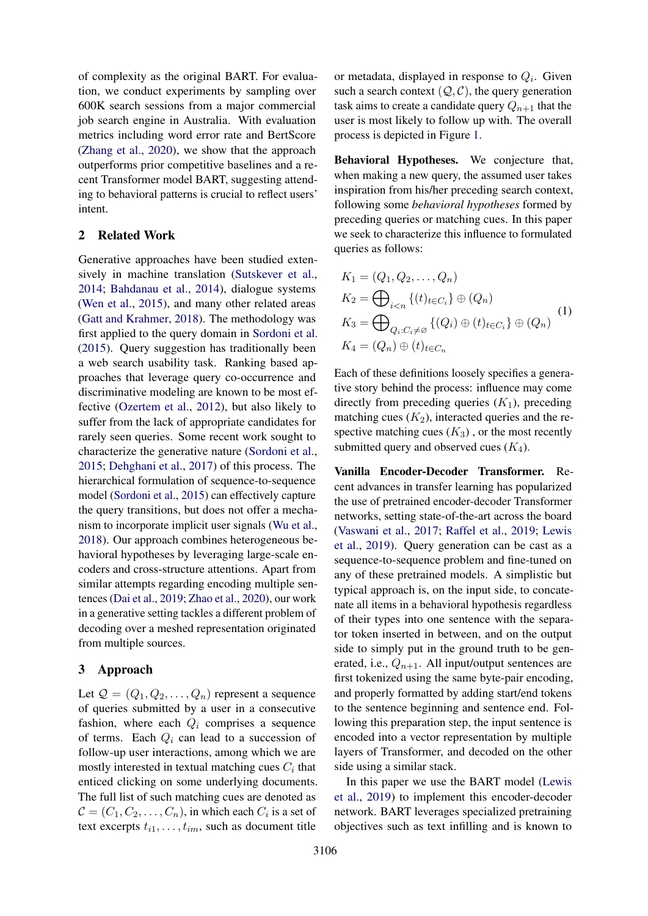of complexity as the original BART. For evaluation, we conduct experiments by sampling over 600K search sessions from a major commercial job search engine in Australia. With evaluation metrics including word error rate and BertScore [\(Zhang et al.,](#page-5-5) [2020\)](#page-5-5), we show that the approach outperforms prior competitive baselines and a recent Transformer model BART, suggesting attending to behavioral patterns is crucial to reflect users' intent.

## 2 Related Work

Generative approaches have been studied extensively in machine translation [\(Sutskever et al.,](#page-5-6) [2014;](#page-5-6) [Bahdanau et al.,](#page-5-7) [2014\)](#page-5-7), dialogue systems [\(Wen et al.,](#page-5-8) [2015\)](#page-5-8), and many other related areas [\(Gatt and Krahmer,](#page-5-9) [2018\)](#page-5-9). The methodology was first applied to the query domain in [Sordoni et al.](#page-5-2) [\(2015\)](#page-5-2). Query suggestion has traditionally been a web search usability task. Ranking based approaches that leverage query co-occurrence and discriminative modeling are known to be most effective [\(Ozertem et al.,](#page-5-10) [2012\)](#page-5-10), but also likely to suffer from the lack of appropriate candidates for rarely seen queries. Some recent work sought to characterize the generative nature [\(Sordoni et al.,](#page-5-2) [2015;](#page-5-2) [Dehghani et al.,](#page-5-1) [2017\)](#page-5-1) of this process. The hierarchical formulation of sequence-to-sequence model [\(Sordoni et al.,](#page-5-2) [2015\)](#page-5-2) can effectively capture the query transitions, but does not offer a mechanism to incorporate implicit user signals [\(Wu et al.,](#page-5-11) [2018\)](#page-5-11). Our approach combines heterogeneous behavioral hypotheses by leveraging large-scale encoders and cross-structure attentions. Apart from similar attempts regarding encoding multiple sentences [\(Dai et al.,](#page-5-12) [2019;](#page-5-12) [Zhao et al.,](#page-5-13) [2020\)](#page-5-13), our work in a generative setting tackles a different problem of decoding over a meshed representation originated from multiple sources.

### <span id="page-1-0"></span>3 Approach

Let  $\mathcal{Q} = (Q_1, Q_2, \dots, Q_n)$  represent a sequence of queries submitted by a user in a consecutive fashion, where each  $Q_i$  comprises a sequence of terms. Each  $Q_i$  can lead to a succession of follow-up user interactions, among which we are mostly interested in textual matching cues  $C_i$  that enticed clicking on some underlying documents. The full list of such matching cues are denoted as  $\mathcal{C} = (C_1, C_2, \ldots, C_n)$ , in which each  $C_i$  is a set of text excerpts  $t_{i1}, \ldots, t_{im}$ , such as document title

or metadata, displayed in response to  $Q_i$ . Given such a search context  $(Q, C)$ , the query generation task aims to create a candidate query  $Q_{n+1}$  that the user is most likely to follow up with. The overall process is depicted in Figure [1.](#page-0-0)

Behavioral Hypotheses. We conjecture that, when making a new query, the assumed user takes inspiration from his/her preceding search context, following some *behavioral hypotheses* formed by preceding queries or matching cues. In this paper we seek to characterize this influence to formulated queries as follows:

$$
K_1 = (Q_1, Q_2, ..., Q_n)
$$
  
\n
$$
K_2 = \bigoplus_{i < n} \{ (t)_{t \in C_i} \} \oplus (Q_n)
$$
  
\n
$$
K_3 = \bigoplus_{Q_i : C_i \neq \emptyset} \{ (Q_i) \oplus (t)_{t \in C_i} \} \oplus (Q_n)
$$
  
\n
$$
K_4 = (Q_n) \oplus (t)_{t \in C_n}
$$
\n
$$
(1)
$$

Each of these definitions loosely specifies a generative story behind the process: influence may come directly from preceding queries  $(K_1)$ , preceding matching cues  $(K_2)$ , interacted queries and the respective matching cues  $(K_3)$ , or the most recently submitted query and observed cues  $(K_4)$ .

Vanilla Encoder-Decoder Transformer. Recent advances in transfer learning has popularized the use of pretrained encoder-decoder Transformer networks, setting state-of-the-art across the board [\(Vaswani et al.,](#page-5-14) [2017;](#page-5-14) [Raffel et al.,](#page-5-15) [2019;](#page-5-15) [Lewis](#page-5-4) [et al.,](#page-5-4) [2019\)](#page-5-4). Query generation can be cast as a sequence-to-sequence problem and fine-tuned on any of these pretrained models. A simplistic but typical approach is, on the input side, to concatenate all items in a behavioral hypothesis regardless of their types into one sentence with the separator token inserted in between, and on the output side to simply put in the ground truth to be generated, i.e.,  $Q_{n+1}$ . All input/output sentences are first tokenized using the same byte-pair encoding, and properly formatted by adding start/end tokens to the sentence beginning and sentence end. Following this preparation step, the input sentence is encoded into a vector representation by multiple layers of Transformer, and decoded on the other side using a similar stack.

In this paper we use the BART model [\(Lewis](#page-5-4) [et al.,](#page-5-4) [2019\)](#page-5-4) to implement this encoder-decoder network. BART leverages specialized pretraining objectives such as text infilling and is known to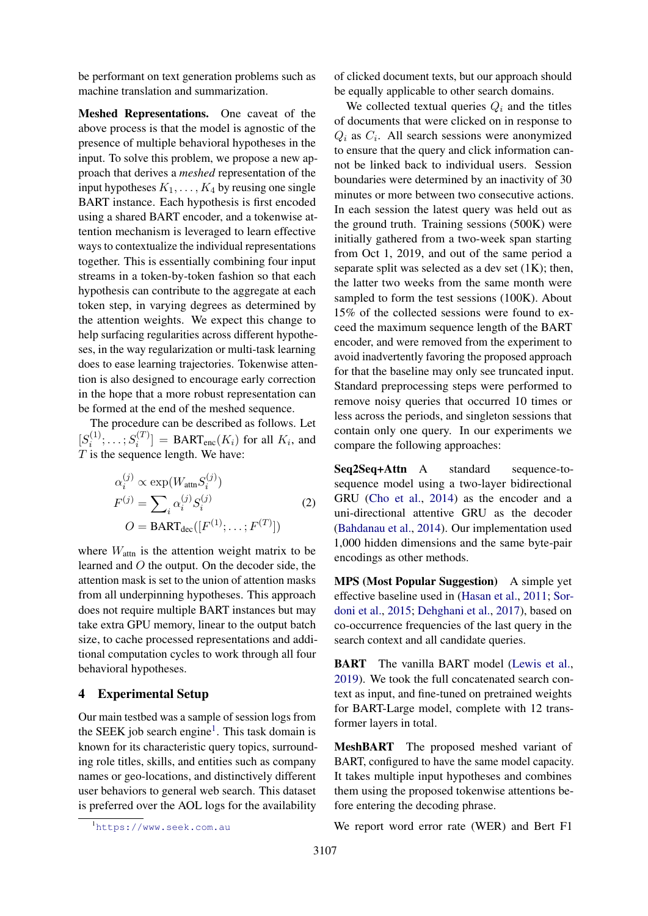be performant on text generation problems such as machine translation and summarization.

Meshed Representations. One caveat of the above process is that the model is agnostic of the presence of multiple behavioral hypotheses in the input. To solve this problem, we propose a new approach that derives a *meshed* representation of the input hypotheses  $K_1, \ldots, K_4$  by reusing one single BART instance. Each hypothesis is first encoded using a shared BART encoder, and a tokenwise attention mechanism is leveraged to learn effective ways to contextualize the individual representations together. This is essentially combining four input streams in a token-by-token fashion so that each hypothesis can contribute to the aggregate at each token step, in varying degrees as determined by the attention weights. We expect this change to help surfacing regularities across different hypotheses, in the way regularization or multi-task learning does to ease learning trajectories. Tokenwise attention is also designed to encourage early correction in the hope that a more robust representation can be formed at the end of the meshed sequence.

The procedure can be described as follows. Let  $[S_i^{(1)}]$  $s_i^{(1)}; \ldots; S_i^{(T)}$  $\left[\begin{matrix}n^{(1)}\\i\end{matrix}\right] = \text{BART}_{\text{enc}}(K_i)$  for all  $K_i$ , and  $T$  is the sequence length. We have:

$$
\alpha_i^{(j)} \propto \exp(W_{\text{attn}} S_i^{(j)})
$$
  
\n
$$
F^{(j)} = \sum_i \alpha_i^{(j)} S_i^{(j)}
$$
  
\n
$$
O = \text{BART}_{\text{dec}}([F^{(1)}; \dots; F^{(T)}])
$$
\n(2)

where  $W_{\text{attn}}$  is the attention weight matrix to be learned and O the output. On the decoder side, the attention mask is set to the union of attention masks from all underpinning hypotheses. This approach does not require multiple BART instances but may take extra GPU memory, linear to the output batch size, to cache processed representations and additional computation cycles to work through all four behavioral hypotheses.

#### 4 Experimental Setup

Our main testbed was a sample of session logs from the SEEK job search engine<sup>[1](#page-2-0)</sup>. This task domain is known for its characteristic query topics, surrounding role titles, skills, and entities such as company names or geo-locations, and distinctively different user behaviors to general web search. This dataset is preferred over the AOL logs for the availability

of clicked document texts, but our approach should be equally applicable to other search domains.

We collected textual queries  $Q_i$  and the titles of documents that were clicked on in response to  $Q_i$  as  $C_i$ . All search sessions were anonymized to ensure that the query and click information cannot be linked back to individual users. Session boundaries were determined by an inactivity of 30 minutes or more between two consecutive actions. In each session the latest query was held out as the ground truth. Training sessions (500K) were initially gathered from a two-week span starting from Oct 1, 2019, and out of the same period a separate split was selected as a dev set  $(1K)$ ; then, the latter two weeks from the same month were sampled to form the test sessions (100K). About 15% of the collected sessions were found to exceed the maximum sequence length of the BART encoder, and were removed from the experiment to avoid inadvertently favoring the proposed approach for that the baseline may only see truncated input. Standard preprocessing steps were performed to remove noisy queries that occurred 10 times or less across the periods, and singleton sessions that contain only one query. In our experiments we compare the following approaches:

Seq2Seq+Attn A standard sequence-tosequence model using a two-layer bidirectional GRU [\(Cho et al.,](#page-5-16) [2014\)](#page-5-16) as the encoder and a uni-directional attentive GRU as the decoder [\(Bahdanau et al.,](#page-5-7) [2014\)](#page-5-7). Our implementation used 1,000 hidden dimensions and the same byte-pair encodings as other methods.

MPS (Most Popular Suggestion) A simple yet effective baseline used in [\(Hasan et al.,](#page-5-17) [2011;](#page-5-17) [Sor](#page-5-2)[doni et al.,](#page-5-2) [2015;](#page-5-2) [Dehghani et al.,](#page-5-1) [2017\)](#page-5-1), based on co-occurrence frequencies of the last query in the search context and all candidate queries.

BART The vanilla BART model [\(Lewis et al.,](#page-5-4) [2019\)](#page-5-4). We took the full concatenated search context as input, and fine-tuned on pretrained weights for BART-Large model, complete with 12 transformer layers in total.

MeshBART The proposed meshed variant of BART, configured to have the same model capacity. It takes multiple input hypotheses and combines them using the proposed tokenwise attentions before entering the decoding phrase.

We report word error rate (WER) and Bert F1

<span id="page-2-0"></span><sup>1</sup><https://www.seek.com.au>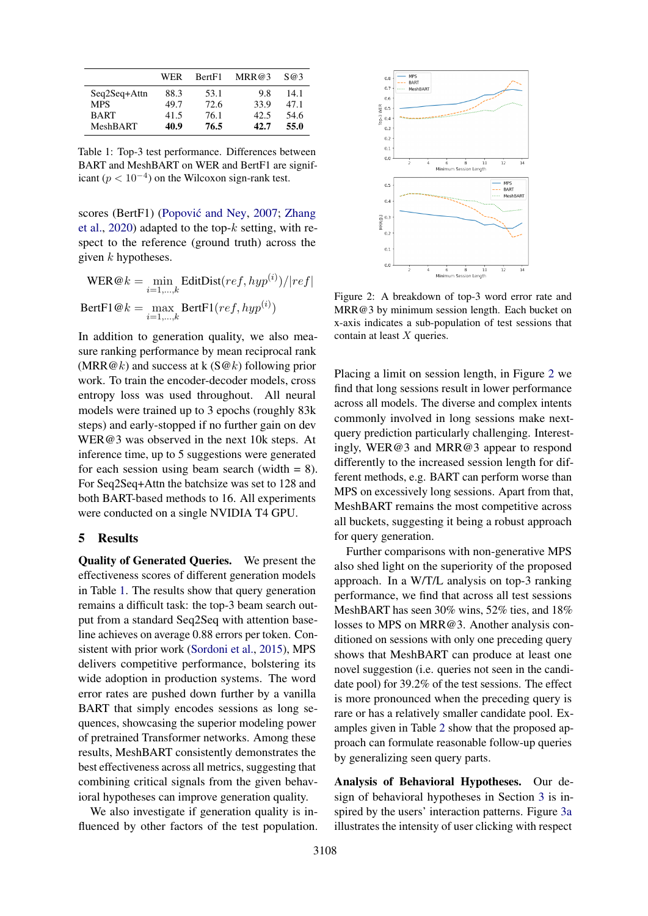<span id="page-3-0"></span>

|              | WER  | Bert <sub>F1</sub> | MRR@3 | S@3  |
|--------------|------|--------------------|-------|------|
| Seq2Seq+Attn | 88.3 | 53.1               | 9.8   | 14.1 |
| <b>MPS</b>   | 49.7 | 72.6               | 33.9  | 47.1 |
| <b>BART</b>  | 41.5 | 76.1               | 42.5  | 54.6 |
| MeshBART     | 40.9 | 76.5               | 42.7  | 55.0 |

Table 1: Top-3 test performance. Differences between BART and MeshBART on WER and BertF1 are significant ( $p < 10^{-4}$ ) on the Wilcoxon sign-rank test.

scores (BertF1) (Popović and Ney, [2007;](#page-5-18) [Zhang](#page-5-5) [et al.,](#page-5-5) [2020\)](#page-5-5) adapted to the top- $k$  setting, with respect to the reference (ground truth) across the given  $k$  hypotheses.

$$
\text{WER@k} = \min_{i=1,\dots,k} \text{EditDist}(ref, hyp^{(i)}) / |ref|
$$

$$
\text{BertFl@k} = \max_{i=1,\dots,k} \text{BertFl}(ref, hyp^{(i)})
$$

In addition to generation quality, we also measure ranking performance by mean reciprocal rank (MRR@k) and success at k  $(S@k)$  following prior work. To train the encoder-decoder models, cross entropy loss was used throughout. All neural models were trained up to 3 epochs (roughly 83k steps) and early-stopped if no further gain on dev WER@3 was observed in the next 10k steps. At inference time, up to 5 suggestions were generated for each session using beam search (width  $= 8$ ). For Seq2Seq+Attn the batchsize was set to 128 and both BART-based methods to 16. All experiments were conducted on a single NVIDIA T4 GPU.

#### 5 Results

Quality of Generated Queries. We present the effectiveness scores of different generation models in Table [1.](#page-3-0) The results show that query generation remains a difficult task: the top-3 beam search output from a standard Seq2Seq with attention baseline achieves on average 0.88 errors per token. Consistent with prior work [\(Sordoni et al.,](#page-5-2) [2015\)](#page-5-2), MPS delivers competitive performance, bolstering its wide adoption in production systems. The word error rates are pushed down further by a vanilla BART that simply encodes sessions as long sequences, showcasing the superior modeling power of pretrained Transformer networks. Among these results, MeshBART consistently demonstrates the best effectiveness across all metrics, suggesting that combining critical signals from the given behavioral hypotheses can improve generation quality.

We also investigate if generation quality is influenced by other factors of the test population.

<span id="page-3-1"></span>

Figure 2: A breakdown of top-3 word error rate and MRR@3 by minimum session length. Each bucket on x-axis indicates a sub-population of test sessions that contain at least X queries.

Placing a limit on session length, in Figure [2](#page-3-1) we find that long sessions result in lower performance across all models. The diverse and complex intents commonly involved in long sessions make nextquery prediction particularly challenging. Interestingly, WER@3 and MRR@3 appear to respond differently to the increased session length for different methods, e.g. BART can perform worse than MPS on excessively long sessions. Apart from that, MeshBART remains the most competitive across all buckets, suggesting it being a robust approach for query generation.

Further comparisons with non-generative MPS also shed light on the superiority of the proposed approach. In a W/T/L analysis on top-3 ranking performance, we find that across all test sessions MeshBART has seen 30% wins, 52% ties, and 18% losses to MPS on MRR@3. Another analysis conditioned on sessions with only one preceding query shows that MeshBART can produce at least one novel suggestion (i.e. queries not seen in the candidate pool) for 39.2% of the test sessions. The effect is more pronounced when the preceding query is rare or has a relatively smaller candidate pool. Examples given in Table [2](#page-4-0) show that the proposed approach can formulate reasonable follow-up queries by generalizing seen query parts.

Analysis of Behavioral Hypotheses. Our design of behavioral hypotheses in Section [3](#page-1-0) is inspired by the users' interaction patterns. Figure [3a](#page-4-1) illustrates the intensity of user clicking with respect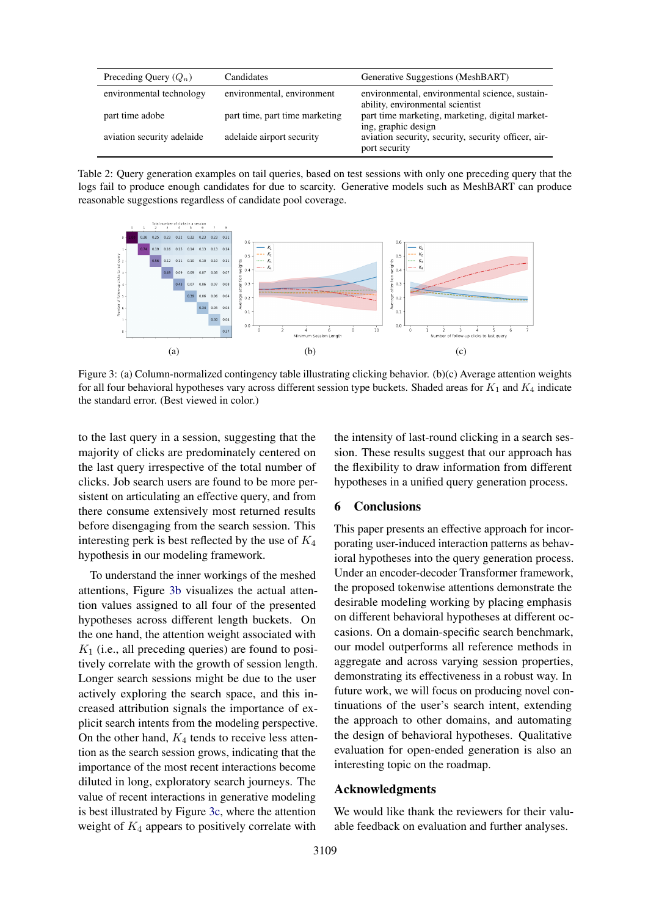<span id="page-4-0"></span>

| Preceding Query $(Q_n)$    | Candidates                     | Generative Suggestions (MeshBART)                                                  |
|----------------------------|--------------------------------|------------------------------------------------------------------------------------|
| environmental technology   | environmental, environment     | environmental, environmental science, sustain-<br>ability, environmental scientist |
| part time adobe            | part time, part time marketing | part time marketing, marketing, digital market-<br>ing, graphic design             |
| aviation security adelaide | adelaide airport security      | aviation security, security, security officer, air-<br>port security               |

Table 2: Query generation examples on tail queries, based on test sessions with only one preceding query that the logs fail to produce enough candidates for due to scarcity. Generative models such as MeshBART can produce reasonable suggestions regardless of candidate pool coverage.

<span id="page-4-1"></span>

Figure 3: (a) Column-normalized contingency table illustrating clicking behavior. (b)(c) Average attention weights for all four behavioral hypotheses vary across different session type buckets. Shaded areas for  $K_1$  and  $K_4$  indicate the standard error. (Best viewed in color.)

to the last query in a session, suggesting that the majority of clicks are predominately centered on the last query irrespective of the total number of clicks. Job search users are found to be more persistent on articulating an effective query, and from there consume extensively most returned results before disengaging from the search session. This interesting perk is best reflected by the use of  $K_4$ hypothesis in our modeling framework.

To understand the inner workings of the meshed attentions, Figure [3b](#page-4-1) visualizes the actual attention values assigned to all four of the presented hypotheses across different length buckets. On the one hand, the attention weight associated with  $K_1$  (i.e., all preceding queries) are found to positively correlate with the growth of session length. Longer search sessions might be due to the user actively exploring the search space, and this increased attribution signals the importance of explicit search intents from the modeling perspective. On the other hand,  $K_4$  tends to receive less attention as the search session grows, indicating that the importance of the most recent interactions become diluted in long, exploratory search journeys. The value of recent interactions in generative modeling is best illustrated by Figure [3c,](#page-4-1) where the attention weight of  $K_4$  appears to positively correlate with

the intensity of last-round clicking in a search session. These results suggest that our approach has the flexibility to draw information from different hypotheses in a unified query generation process.

#### 6 Conclusions

This paper presents an effective approach for incorporating user-induced interaction patterns as behavioral hypotheses into the query generation process. Under an encoder-decoder Transformer framework, the proposed tokenwise attentions demonstrate the desirable modeling working by placing emphasis on different behavioral hypotheses at different occasions. On a domain-specific search benchmark, our model outperforms all reference methods in aggregate and across varying session properties, demonstrating its effectiveness in a robust way. In future work, we will focus on producing novel continuations of the user's search intent, extending the approach to other domains, and automating the design of behavioral hypotheses. Qualitative evaluation for open-ended generation is also an interesting topic on the roadmap.

### Acknowledgments

We would like thank the reviewers for their valuable feedback on evaluation and further analyses.